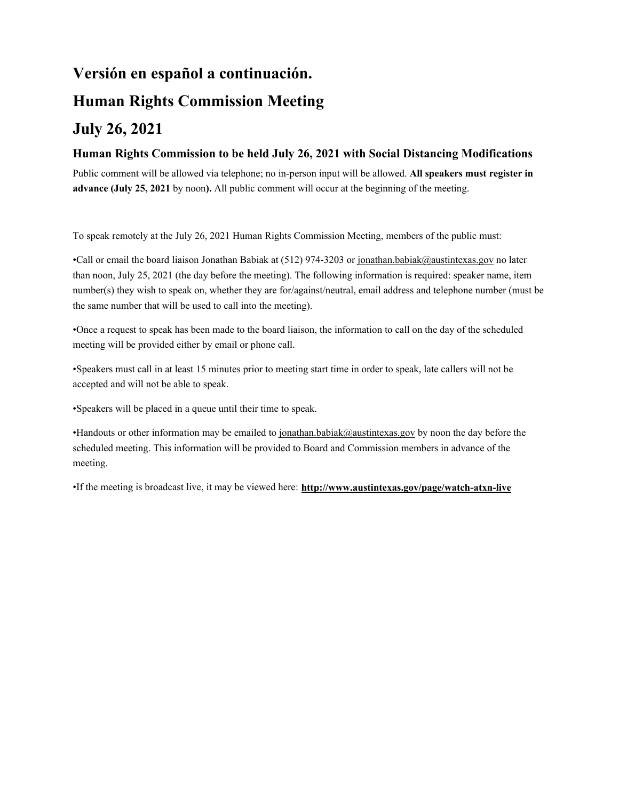# **Versión en español a continuación. Human Rights Commission Meeting July 26, 2021**

### **Human Rights Commission to be held July 26, 2021 with Social Distancing Modifications**

Public comment will be allowed via telephone; no in-person input will be allowed. **All speakers must register in advance (July 25, 2021** by noon**).** All public comment will occur at the beginning of the meeting.

To speak remotely at the July 26, 2021 Human Rights Commission Meeting, members of the public must:

•Call or email the board liaison Jonathan Babiak at (512) 974-3203 or jonathan.babiak@austintexas.gov no later than noon, July 25, 2021 (the day before the meeting). The following information is required: speaker name, item number(s) they wish to speak on, whether they are for/against/neutral, email address and telephone number (must be the same number that will be used to call into the meeting).

•Once a request to speak has been made to the board liaison, the information to call on the day of the scheduled meeting will be provided either by email or phone call.

•Speakers must call in at least 15 minutes prior to meeting start time in order to speak, late callers will not be accepted and will not be able to speak.

•Speakers will be placed in a queue until their time to speak.

•Handouts or other information may be emailed to jonathan.babiak@austintexas.gov by noon the day before the scheduled meeting. This information will be provided to Board and Commission members in advance of the meeting.

•If the meeting is broadcast live, it may be viewed here: **http://www.austintexas.gov/page/watch-atxn-live**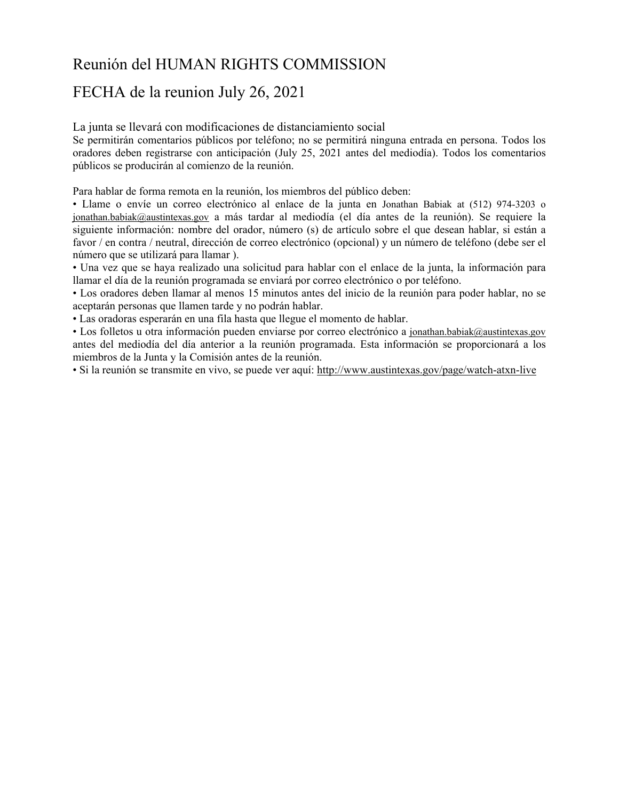# Reunión del HUMAN RIGHTS COMMISSION

## FECHA de la reunion July 26, 2021

La junta se llevará con modificaciones de distanciamiento social

Se permitirán comentarios públicos por teléfono; no se permitirá ninguna entrada en persona. Todos los oradores deben registrarse con anticipación (July 25, 2021 antes del mediodía). Todos los comentarios públicos se producirán al comienzo de la reunión.

Para hablar de forma remota en la reunión, los miembros del público deben:

• Llame o envíe un correo electrónico al enlace de la junta en Jonathan Babiak at (512) 974-3203 o jonathan.babiak@austintexas.gov a más tardar al mediodía (el día antes de la reunión). Se requiere la siguiente información: nombre del orador, número (s) de artículo sobre el que desean hablar, si están a favor / en contra / neutral, dirección de correo electrónico (opcional) y un número de teléfono (debe ser el número que se utilizará para llamar ).

• Una vez que se haya realizado una solicitud para hablar con el enlace de la junta, la información para llamar el día de la reunión programada se enviará por correo electrónico o por teléfono.

• Los oradores deben llamar al menos 15 minutos antes del inicio de la reunión para poder hablar, no se aceptarán personas que llamen tarde y no podrán hablar.

• Las oradoras esperarán en una fila hasta que llegue el momento de hablar.

• Los folletos u otra información pueden enviarse por correo electrónico a jonathan.babiak@austintexas.gov antes del mediodía del día anterior a la reunión programada. Esta información se proporcionará a los miembros de la Junta y la Comisión antes de la reunión.

• Si la reunión se transmite en vivo, se puede ver aquí: http://www.austintexas.gov/page/watch-atxn-live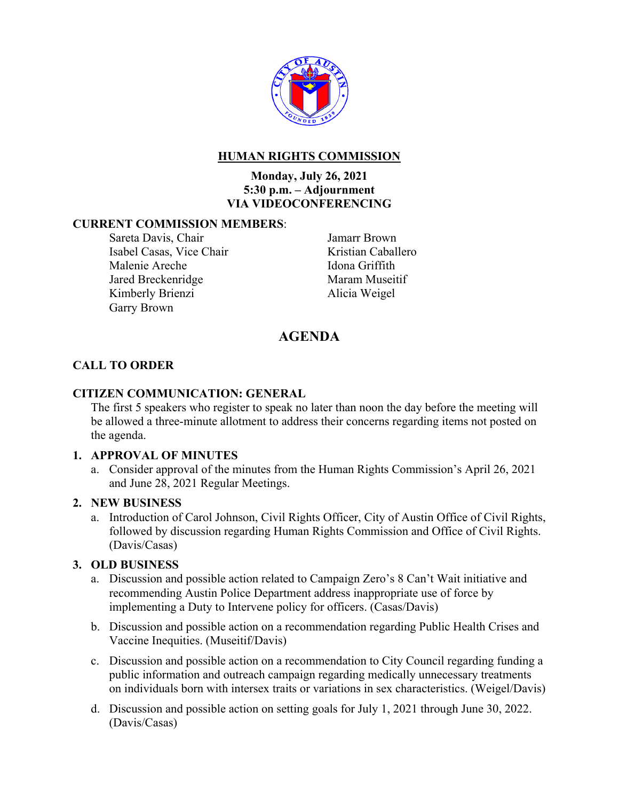

### **HUMAN RIGHTS COMMISSION**

### **Monday, July 26, 2021 5:30 p.m. – Adjournment VIA VIDEOCONFERENCING**

### **CURRENT COMMISSION MEMBERS**:

Sareta Davis, Chair Isabel Casas, Vice Chair Malenie Areche Jared Breckenridge Kimberly Brienzi Garry Brown

Jamarr Brown Kristian Caballero Idona Griffith Maram Museitif Alicia Weigel

### **AGENDA**

### **CALL TO ORDER**

### **CITIZEN COMMUNICATION: GENERAL**

The first 5 speakers who register to speak no later than noon the day before the meeting will be allowed a three-minute allotment to address their concerns regarding items not posted on the agenda.

### **1. APPROVAL OF MINUTES**

a. Consider approval of the minutes from the Human Rights Commission's April 26, 2021 and June 28, 2021 Regular Meetings.

#### **2. NEW BUSINESS**

a. Introduction of Carol Johnson, Civil Rights Officer, City of Austin Office of Civil Rights, followed by discussion regarding Human Rights Commission and Office of Civil Rights. (Davis/Casas)

### **3. OLD BUSINESS**

- a. Discussion and possible action related to Campaign Zero's 8 Can't Wait initiative and recommending Austin Police Department address inappropriate use of force by implementing a Duty to Intervene policy for officers. (Casas/Davis)
- b. Discussion and possible action on a recommendation regarding Public Health Crises and Vaccine Inequities. (Museitif/Davis)
- c. Discussion and possible action on a recommendation to City Council regarding funding a public information and outreach campaign regarding medically unnecessary treatments on individuals born with intersex traits or variations in sex characteristics. (Weigel/Davis)
- d. Discussion and possible action on setting goals for July 1, 2021 through June 30, 2022. (Davis/Casas)